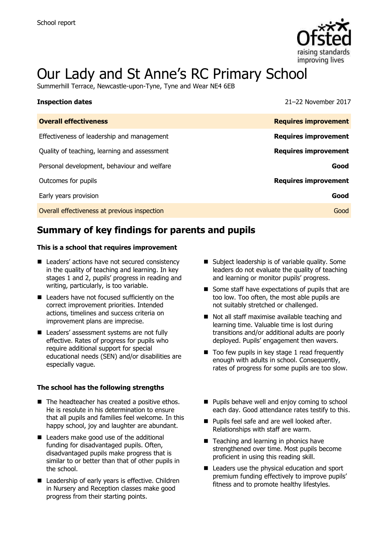

# Our Lady and St Anne's RC Primary School

Summerhill Terrace, Newcastle-upon-Tyne, Tyne and Wear NE4 6EB

| <b>Inspection dates</b>                      | 21-22 November 2017         |
|----------------------------------------------|-----------------------------|
| <b>Overall effectiveness</b>                 | <b>Requires improvement</b> |
| Effectiveness of leadership and management   | <b>Requires improvement</b> |
| Quality of teaching, learning and assessment | <b>Requires improvement</b> |
| Personal development, behaviour and welfare  | Good                        |
| Outcomes for pupils                          | <b>Requires improvement</b> |
| Early years provision                        | Good                        |
| Overall effectiveness at previous inspection | Good                        |

# **Summary of key findings for parents and pupils**

#### **This is a school that requires improvement**

- Leaders' actions have not secured consistency in the quality of teaching and learning. In key stages 1 and 2, pupils' progress in reading and writing, particularly, is too variable.
- Leaders have not focused sufficiently on the correct improvement priorities. Intended actions, timelines and success criteria on improvement plans are imprecise.
- Leaders' assessment systems are not fully effective. Rates of progress for pupils who require additional support for special educational needs (SEN) and/or disabilities are especially vague.

#### **The school has the following strengths**

- The headteacher has created a positive ethos. He is resolute in his determination to ensure that all pupils and families feel welcome. In this happy school, joy and laughter are abundant.
- Leaders make good use of the additional funding for disadvantaged pupils. Often, disadvantaged pupils make progress that is similar to or better than that of other pupils in the school.
- Leadership of early years is effective. Children in Nursery and Reception classes make good progress from their starting points.
- Subject leadership is of variable quality. Some leaders do not evaluate the quality of teaching and learning or monitor pupils' progress.
- Some staff have expectations of pupils that are too low. Too often, the most able pupils are not suitably stretched or challenged.
- Not all staff maximise available teaching and learning time. Valuable time is lost during transitions and/or additional adults are poorly deployed. Pupils' engagement then wavers.
- $\blacksquare$  Too few pupils in key stage 1 read frequently enough with adults in school. Consequently, rates of progress for some pupils are too slow.
- **Pupils behave well and enjoy coming to school** each day. Good attendance rates testify to this.
- **Pupils feel safe and are well looked after.** Relationships with staff are warm.
- Teaching and learning in phonics have strengthened over time. Most pupils become proficient in using this reading skill.
- Leaders use the physical education and sport premium funding effectively to improve pupils' fitness and to promote healthy lifestyles.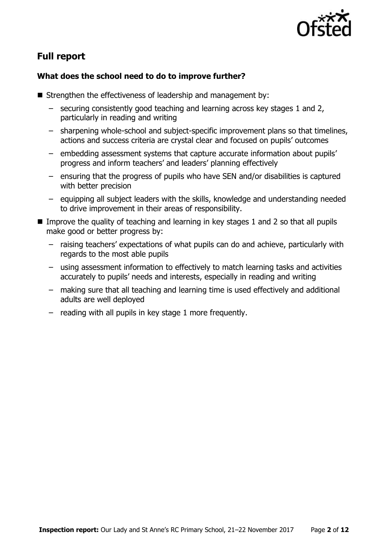

# **Full report**

### **What does the school need to do to improve further?**

- Strengthen the effectiveness of leadership and management by:
	- securing consistently good teaching and learning across key stages 1 and 2, particularly in reading and writing
	- sharpening whole-school and subject-specific improvement plans so that timelines, actions and success criteria are crystal clear and focused on pupils' outcomes
	- embedding assessment systems that capture accurate information about pupils' progress and inform teachers' and leaders' planning effectively
	- ensuring that the progress of pupils who have SEN and/or disabilities is captured with better precision
	- equipping all subject leaders with the skills, knowledge and understanding needed to drive improvement in their areas of responsibility.
- Improve the quality of teaching and learning in key stages 1 and 2 so that all pupils make good or better progress by:
	- raising teachers' expectations of what pupils can do and achieve, particularly with regards to the most able pupils
	- using assessment information to effectively to match learning tasks and activities accurately to pupils' needs and interests, especially in reading and writing
	- making sure that all teaching and learning time is used effectively and additional adults are well deployed
	- reading with all pupils in key stage 1 more frequently.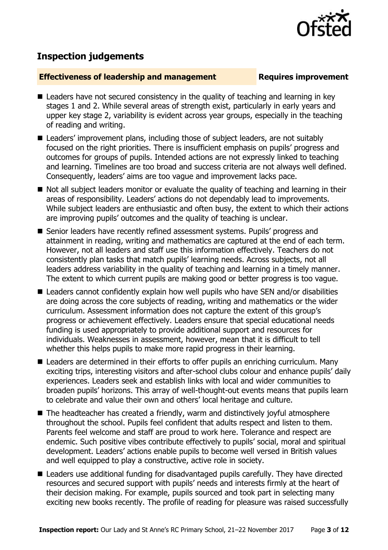

# **Inspection judgements**

#### **Effectiveness of leadership and management Requires improvement**

- Leaders have not secured consistency in the quality of teaching and learning in key stages 1 and 2. While several areas of strength exist, particularly in early years and upper key stage 2, variability is evident across year groups, especially in the teaching of reading and writing.
- Leaders' improvement plans, including those of subject leaders, are not suitably focused on the right priorities. There is insufficient emphasis on pupils' progress and outcomes for groups of pupils. Intended actions are not expressly linked to teaching and learning. Timelines are too broad and success criteria are not always well defined. Consequently, leaders' aims are too vague and improvement lacks pace.
- Not all subject leaders monitor or evaluate the quality of teaching and learning in their areas of responsibility. Leaders' actions do not dependably lead to improvements. While subject leaders are enthusiastic and often busy, the extent to which their actions are improving pupils' outcomes and the quality of teaching is unclear.
- Senior leaders have recently refined assessment systems. Pupils' progress and attainment in reading, writing and mathematics are captured at the end of each term. However, not all leaders and staff use this information effectively. Teachers do not consistently plan tasks that match pupils' learning needs. Across subjects, not all leaders address variability in the quality of teaching and learning in a timely manner. The extent to which current pupils are making good or better progress is too vague.
- Leaders cannot confidently explain how well pupils who have SEN and/or disabilities are doing across the core subjects of reading, writing and mathematics or the wider curriculum. Assessment information does not capture the extent of this group's progress or achievement effectively. Leaders ensure that special educational needs funding is used appropriately to provide additional support and resources for individuals. Weaknesses in assessment, however, mean that it is difficult to tell whether this helps pupils to make more rapid progress in their learning.
- Leaders are determined in their efforts to offer pupils an enriching curriculum. Many exciting trips, interesting visitors and after-school clubs colour and enhance pupils' daily experiences. Leaders seek and establish links with local and wider communities to broaden pupils' horizons. This array of well-thought-out events means that pupils learn to celebrate and value their own and others' local heritage and culture.
- The headteacher has created a friendly, warm and distinctively joyful atmosphere throughout the school. Pupils feel confident that adults respect and listen to them. Parents feel welcome and staff are proud to work here. Tolerance and respect are endemic. Such positive vibes contribute effectively to pupils' social, moral and spiritual development. Leaders' actions enable pupils to become well versed in British values and well equipped to play a constructive, active role in society.
- Leaders use additional funding for disadvantaged pupils carefully. They have directed resources and secured support with pupils' needs and interests firmly at the heart of their decision making. For example, pupils sourced and took part in selecting many exciting new books recently. The profile of reading for pleasure was raised successfully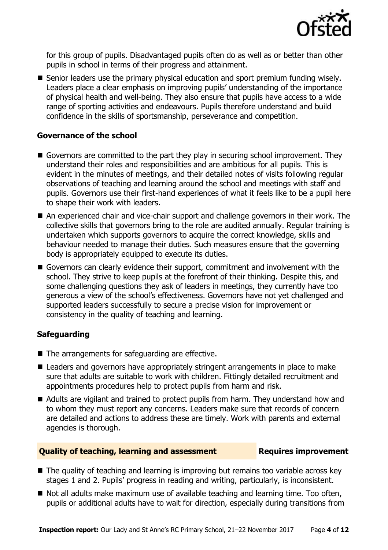

for this group of pupils. Disadvantaged pupils often do as well as or better than other pupils in school in terms of their progress and attainment.

Senior leaders use the primary physical education and sport premium funding wisely. Leaders place a clear emphasis on improving pupils' understanding of the importance of physical health and well-being. They also ensure that pupils have access to a wide range of sporting activities and endeavours. Pupils therefore understand and build confidence in the skills of sportsmanship, perseverance and competition.

#### **Governance of the school**

- Governors are committed to the part they play in securing school improvement. They understand their roles and responsibilities and are ambitious for all pupils. This is evident in the minutes of meetings, and their detailed notes of visits following regular observations of teaching and learning around the school and meetings with staff and pupils. Governors use their first-hand experiences of what it feels like to be a pupil here to shape their work with leaders.
- An experienced chair and vice-chair support and challenge governors in their work. The collective skills that governors bring to the role are audited annually. Regular training is undertaken which supports governors to acquire the correct knowledge, skills and behaviour needed to manage their duties. Such measures ensure that the governing body is appropriately equipped to execute its duties.
- Governors can clearly evidence their support, commitment and involvement with the school. They strive to keep pupils at the forefront of their thinking. Despite this, and some challenging questions they ask of leaders in meetings, they currently have too generous a view of the school's effectiveness. Governors have not yet challenged and supported leaders successfully to secure a precise vision for improvement or consistency in the quality of teaching and learning.

### **Safeguarding**

- $\blacksquare$  The arrangements for safeguarding are effective.
- Leaders and governors have appropriately stringent arrangements in place to make sure that adults are suitable to work with children. Fittingly detailed recruitment and appointments procedures help to protect pupils from harm and risk.
- Adults are vigilant and trained to protect pupils from harm. They understand how and to whom they must report any concerns. Leaders make sure that records of concern are detailed and actions to address these are timely. Work with parents and external agencies is thorough.

#### **Quality of teaching, learning and assessment Fig. 2.1 Requires improvement**

- The quality of teaching and learning is improving but remains too variable across key stages 1 and 2. Pupils' progress in reading and writing, particularly, is inconsistent.
- Not all adults make maximum use of available teaching and learning time. Too often, pupils or additional adults have to wait for direction, especially during transitions from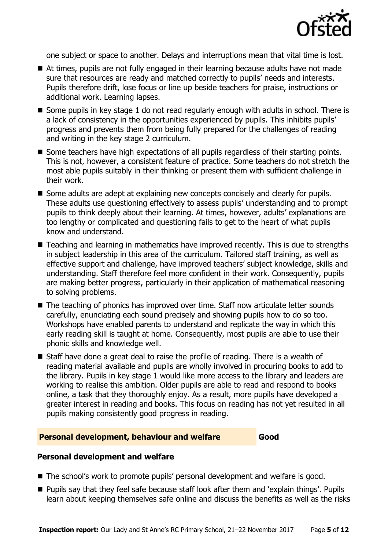

one subject or space to another. Delays and interruptions mean that vital time is lost.

- At times, pupils are not fully engaged in their learning because adults have not made sure that resources are ready and matched correctly to pupils' needs and interests. Pupils therefore drift, lose focus or line up beside teachers for praise, instructions or additional work. Learning lapses.
- Some pupils in key stage 1 do not read regularly enough with adults in school. There is a lack of consistency in the opportunities experienced by pupils. This inhibits pupils' progress and prevents them from being fully prepared for the challenges of reading and writing in the key stage 2 curriculum.
- Some teachers have high expectations of all pupils regardless of their starting points. This is not, however, a consistent feature of practice. Some teachers do not stretch the most able pupils suitably in their thinking or present them with sufficient challenge in their work.
- Some adults are adept at explaining new concepts concisely and clearly for pupils. These adults use questioning effectively to assess pupils' understanding and to prompt pupils to think deeply about their learning. At times, however, adults' explanations are too lengthy or complicated and questioning fails to get to the heart of what pupils know and understand.
- Teaching and learning in mathematics have improved recently. This is due to strengths in subject leadership in this area of the curriculum. Tailored staff training, as well as effective support and challenge, have improved teachers' subject knowledge, skills and understanding. Staff therefore feel more confident in their work. Consequently, pupils are making better progress, particularly in their application of mathematical reasoning to solving problems.
- The teaching of phonics has improved over time. Staff now articulate letter sounds carefully, enunciating each sound precisely and showing pupils how to do so too. Workshops have enabled parents to understand and replicate the way in which this early reading skill is taught at home. Consequently, most pupils are able to use their phonic skills and knowledge well.
- Staff have done a great deal to raise the profile of reading. There is a wealth of reading material available and pupils are wholly involved in procuring books to add to the library. Pupils in key stage 1 would like more access to the library and leaders are working to realise this ambition. Older pupils are able to read and respond to books online, a task that they thoroughly enjoy. As a result, more pupils have developed a greater interest in reading and books. This focus on reading has not yet resulted in all pupils making consistently good progress in reading.

#### **Personal development, behaviour and welfare Good**

#### **Personal development and welfare**

- The school's work to promote pupils' personal development and welfare is good.
- Pupils say that they feel safe because staff look after them and 'explain things'. Pupils learn about keeping themselves safe online and discuss the benefits as well as the risks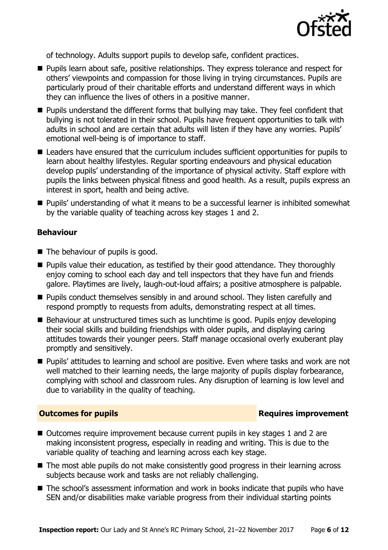

of technology. Adults support pupils to develop safe, confident practices.

- **Pupils learn about safe, positive relationships. They express tolerance and respect for** others' viewpoints and compassion for those living in trying circumstances. Pupils are particularly proud of their charitable efforts and understand different ways in which they can influence the lives of others in a positive manner.
- **Pupils understand the different forms that bullying may take. They feel confident that** bullying is not tolerated in their school. Pupils have frequent opportunities to talk with adults in school and are certain that adults will listen if they have any worries. Pupils' emotional well-being is of importance to staff.
- Leaders have ensured that the curriculum includes sufficient opportunities for pupils to learn about healthy lifestyles. Regular sporting endeavours and physical education develop pupils' understanding of the importance of physical activity. Staff explore with pupils the links between physical fitness and good health. As a result, pupils express an interest in sport, health and being active.
- Pupils' understanding of what it means to be a successful learner is inhibited somewhat by the variable quality of teaching across key stages 1 and 2.

#### **Behaviour**

- The behaviour of pupils is good.
- **Pupils value their education, as testified by their good attendance. They thoroughly** enjoy coming to school each day and tell inspectors that they have fun and friends galore. Playtimes are lively, laugh-out-loud affairs; a positive atmosphere is palpable.
- **Pupils conduct themselves sensibly in and around school. They listen carefully and** respond promptly to requests from adults, demonstrating respect at all times.
- Behaviour at unstructured times such as lunchtime is good. Pupils enjoy developing their social skills and building friendships with older pupils, and displaying caring attitudes towards their younger peers. Staff manage occasional overly exuberant play promptly and sensitively.
- **Pupils' attitudes to learning and school are positive. Even where tasks and work are not** well matched to their learning needs, the large majority of pupils display forbearance, complying with school and classroom rules. Any disruption of learning is low level and due to variability in the quality of teaching.

#### **Outcomes for pupils Requires improvement**

- Outcomes require improvement because current pupils in key stages 1 and 2 are making inconsistent progress, especially in reading and writing. This is due to the variable quality of teaching and learning across each key stage.
- The most able pupils do not make consistently good progress in their learning across subjects because work and tasks are not reliably challenging.
- The school's assessment information and work in books indicate that pupils who have SEN and/or disabilities make variable progress from their individual starting points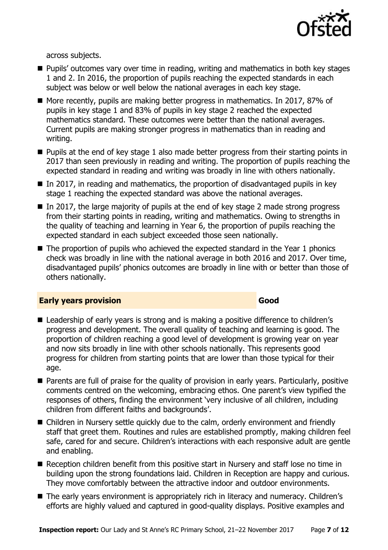

across subjects.

- **Pupils'** outcomes vary over time in reading, writing and mathematics in both key stages 1 and 2. In 2016, the proportion of pupils reaching the expected standards in each subject was below or well below the national averages in each key stage.
- More recently, pupils are making better progress in mathematics. In 2017, 87% of pupils in key stage 1 and 83% of pupils in key stage 2 reached the expected mathematics standard. These outcomes were better than the national averages. Current pupils are making stronger progress in mathematics than in reading and writing.
- **Pupils at the end of key stage 1 also made better progress from their starting points in** 2017 than seen previously in reading and writing. The proportion of pupils reaching the expected standard in reading and writing was broadly in line with others nationally.
- In 2017, in reading and mathematics, the proportion of disadvantaged pupils in key stage 1 reaching the expected standard was above the national averages.
- $\blacksquare$  In 2017, the large majority of pupils at the end of key stage 2 made strong progress from their starting points in reading, writing and mathematics. Owing to strengths in the quality of teaching and learning in Year 6, the proportion of pupils reaching the expected standard in each subject exceeded those seen nationally.
- The proportion of pupils who achieved the expected standard in the Year 1 phonics check was broadly in line with the national average in both 2016 and 2017. Over time, disadvantaged pupils' phonics outcomes are broadly in line with or better than those of others nationally.

#### **Early years provision Good Good**

#### ■ Leadership of early years is strong and is making a positive difference to children's progress and development. The overall quality of teaching and learning is good. The proportion of children reaching a good level of development is growing year on year and now sits broadly in line with other schools nationally. This represents good progress for children from starting points that are lower than those typical for their age.

- **Parents are full of praise for the quality of provision in early years. Particularly, positive** comments centred on the welcoming, embracing ethos. One parent's view typified the responses of others, finding the environment 'very inclusive of all children, including children from different faiths and backgrounds'.
- Children in Nursery settle quickly due to the calm, orderly environment and friendly staff that greet them. Routines and rules are established promptly, making children feel safe, cared for and secure. Children's interactions with each responsive adult are gentle and enabling.
- Reception children benefit from this positive start in Nursery and staff lose no time in building upon the strong foundations laid. Children in Reception are happy and curious. They move comfortably between the attractive indoor and outdoor environments.
- The early years environment is appropriately rich in literacy and numeracy. Children's efforts are highly valued and captured in good-quality displays. Positive examples and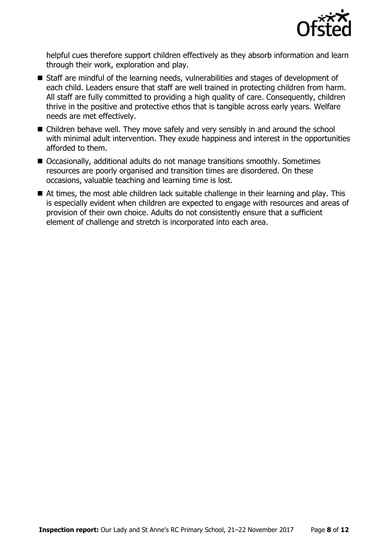

helpful cues therefore support children effectively as they absorb information and learn through their work, exploration and play.

- Staff are mindful of the learning needs, vulnerabilities and stages of development of each child. Leaders ensure that staff are well trained in protecting children from harm. All staff are fully committed to providing a high quality of care. Consequently, children thrive in the positive and protective ethos that is tangible across early years. Welfare needs are met effectively.
- Children behave well. They move safely and very sensibly in and around the school with minimal adult intervention. They exude happiness and interest in the opportunities afforded to them.
- Occasionally, additional adults do not manage transitions smoothly. Sometimes resources are poorly organised and transition times are disordered. On these occasions, valuable teaching and learning time is lost.
- At times, the most able children lack suitable challenge in their learning and play. This is especially evident when children are expected to engage with resources and areas of provision of their own choice. Adults do not consistently ensure that a sufficient element of challenge and stretch is incorporated into each area.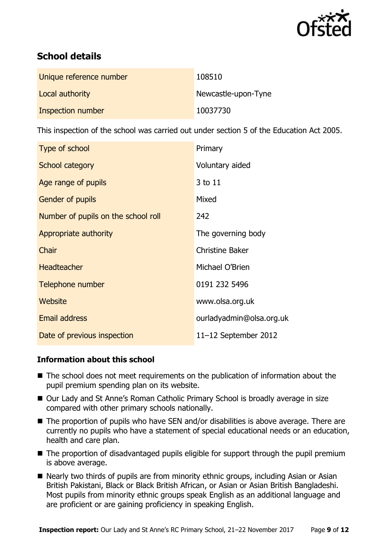

# **School details**

| Unique reference number | 108510              |
|-------------------------|---------------------|
| Local authority         | Newcastle-upon-Tyne |
| Inspection number       | 10037730            |

This inspection of the school was carried out under section 5 of the Education Act 2005.

| Type of school                      | Primary                  |
|-------------------------------------|--------------------------|
| <b>School category</b>              | Voluntary aided          |
| Age range of pupils                 | 3 to 11                  |
| <b>Gender of pupils</b>             | Mixed                    |
| Number of pupils on the school roll | 242                      |
| Appropriate authority               | The governing body       |
| Chair                               | <b>Christine Baker</b>   |
| <b>Headteacher</b>                  | Michael O'Brien          |
| Telephone number                    | 0191 232 5496            |
| Website                             | www.olsa.org.uk          |
| <b>Email address</b>                | ourladyadmin@olsa.org.uk |
| Date of previous inspection         | $11-12$ September 2012   |

### **Information about this school**

- The school does not meet requirements on the publication of information about the pupil premium spending plan on its website.
- Our Lady and St Anne's Roman Catholic Primary School is broadly average in size compared with other primary schools nationally.
- The proportion of pupils who have SEN and/or disabilities is above average. There are currently no pupils who have a statement of special educational needs or an education, health and care plan.
- The proportion of disadvantaged pupils eligible for support through the pupil premium is above average.
- Nearly two thirds of pupils are from minority ethnic groups, including Asian or Asian British Pakistani, Black or Black British African, or Asian or Asian British Bangladeshi. Most pupils from minority ethnic groups speak English as an additional language and are proficient or are gaining proficiency in speaking English.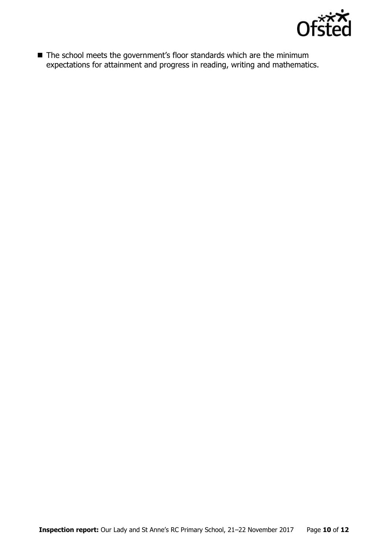

■ The school meets the government's floor standards which are the minimum expectations for attainment and progress in reading, writing and mathematics.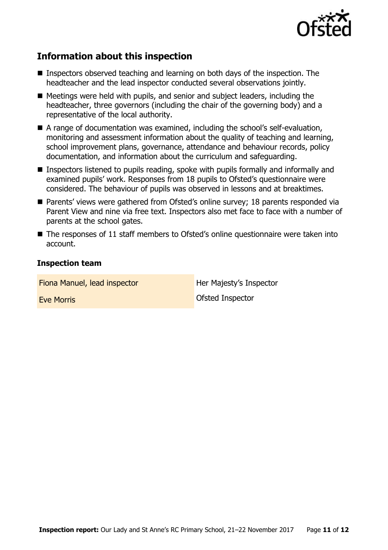

## **Information about this inspection**

- Inspectors observed teaching and learning on both days of the inspection. The headteacher and the lead inspector conducted several observations jointly.
- Meetings were held with pupils, and senior and subject leaders, including the headteacher, three governors (including the chair of the governing body) and a representative of the local authority.
- A range of documentation was examined, including the school's self-evaluation, monitoring and assessment information about the quality of teaching and learning, school improvement plans, governance, attendance and behaviour records, policy documentation, and information about the curriculum and safeguarding.
- Inspectors listened to pupils reading, spoke with pupils formally and informally and examined pupils' work. Responses from 18 pupils to Ofsted's questionnaire were considered. The behaviour of pupils was observed in lessons and at breaktimes.
- Parents' views were gathered from Ofsted's online survey; 18 parents responded via Parent View and nine via free text. Inspectors also met face to face with a number of parents at the school gates.
- The responses of 11 staff members to Ofsted's online questionnaire were taken into account.

#### **Inspection team**

Fiona Manuel, lead inspector **Her Majesty's Inspector** 

**Eve Morris CONSERVING INSTRUCTES**